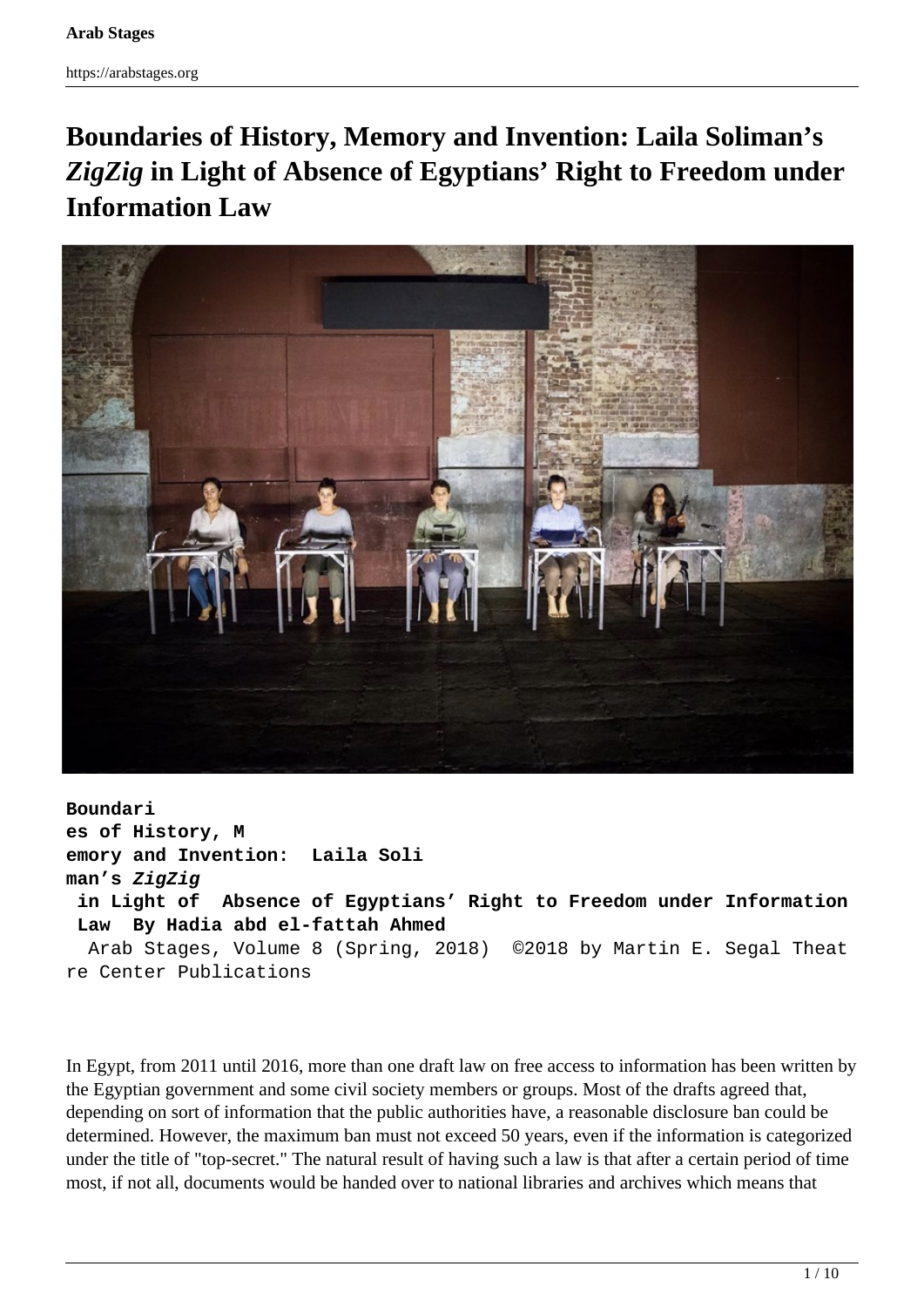# **Boundaries of History, Memory and Invention: Laila Soliman's** *ZigZig* **in Light of Absence of Egyptians' Right to Freedom under Information Law**



**Boundari es of History, M emory and Invention: Laila Soli man's ZigZig in Light of Absence of Egyptians' Right to Freedom under Information Law By Hadia abd el-fattah Ahmed** Arab Stages, Volume 8 (Spring, 2018) ©2018 by Martin E. Segal Theat re Center Publications

In Egypt, from 2011 until 2016, more than one draft law on free access to information has been written by the Egyptian government and some civil society members or groups. Most of the drafts agreed that, depending on sort of information that the public authorities have, a reasonable disclosure ban could be determined. However, the maximum ban must not exceed 50 years, even if the information is categorized under the title of "top-secret." The natural result of having such a law is that after a certain period of time most, if not all, documents would be handed over to national libraries and archives which means that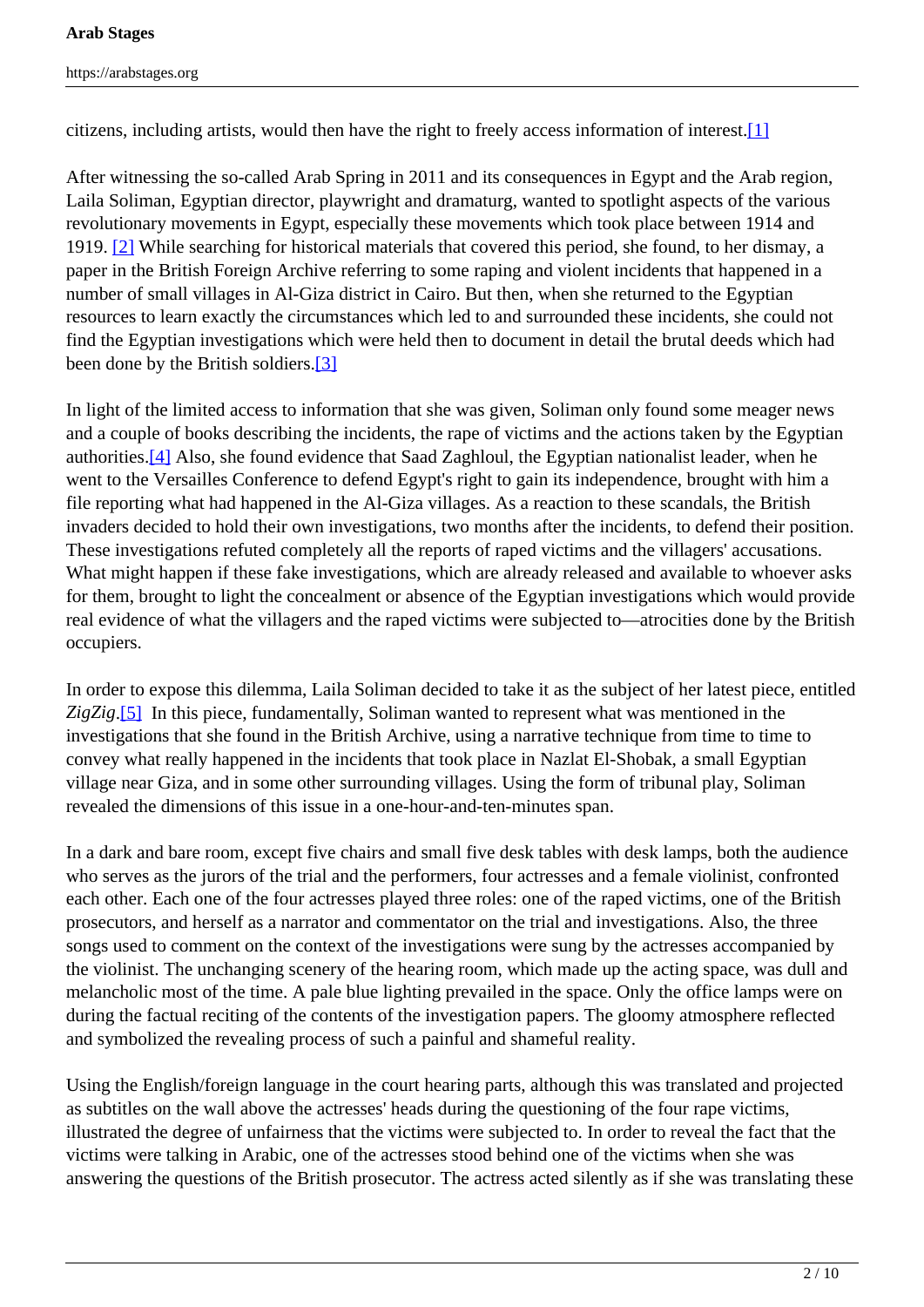#### <span id="page-1-0"></span>**Arab Stages**

citizens, including artists, would then have the right to freely access information of interest. $[1]$ 

After witnessing the so-called Arab Spring in 2011 and its consequences in Egypt and the Arab region, Laila Soliman, Egyptian director, playwright and dramaturg, wanted to spotlight aspects of the various revolutionary movements in Egypt, especially these movements which took place between 1914 and 1919. [2] While searching for historical materials that covered this period, she found, to her dismay, a paper in the British Foreign Archive referring to some raping and violent incidents that happened in a number of small villages in Al-Giza district in Cairo. But then, when she returned to the Egyptian resources to learn exactly the circumstances which led to and surrounded these incidents, she could not find the Egyptian investigations which were held then to document in detail the brutal deeds which had been done by the British soldiers.<sup>[3]</sup>

In light of the limited access to information that she was given, Soliman only found some meager news and a couple of books describing the incidents, the rape of victims and the actions taken by the Egyptian authorities.[4] Also, she found evidence that Saad Zaghloul, the Egyptian nationalist leader, when he went to the Versailles Conference to defend Egypt's right to gain its independence, brought with him a file reporting what had happened in the Al-Giza villages. As a reaction to these scandals, the British invaders decided to hold their own investigations, two months after the incidents, to defend their position. These investigations refuted completely all the reports of raped victims and the villagers' accusations. What might happen if these fake investigations, which are already released and available to whoever asks for them, brought to light the concealment or absence of the Egyptian investigations which would provide real evidence of what the villagers and the raped victims were subjected to—atrocities done by the British occupiers.

In order to expose this dilemma, Laila Soliman decided to take it as the subject of her latest piece, entitled *ZigZig*.[5] In this piece, fundamentally, Soliman wanted to represent what was mentioned in the investigations that she found in the British Archive, using a narrative technique from time to time to convey what really happened in the incidents that took place in Nazlat El-Shobak, a small Egyptian village near Giza, and in some other surrounding villages. Using the form of tribunal play, Soliman revealed the dimensions of this issue in a one-hour-and-ten-minutes span.

In a dark and bare room, except five chairs and small five desk tables with desk lamps, both the audience who serves as the jurors of the trial and the performers, four actresses and a female violinist, confronted each other. Each one of the four actresses played three roles: one of the raped victims, one of the British prosecutors, and herself as a narrator and commentator on the trial and investigations. Also, the three songs used to comment on the context of the investigations were sung by the actresses accompanied by the violinist. The unchanging scenery of the hearing room, which made up the acting space, was dull and melancholic most of the time. A pale blue lighting prevailed in the space. Only the office lamps were on during the factual reciting of the contents of the investigation papers. The gloomy atmosphere reflected and symbolized the revealing process of such a painful and shameful reality.

Using the English/foreign language in the court hearing parts, although this was translated and projected as subtitles on the wall above the actresses' heads during the questioning of the four rape victims, illustrated the degree of unfairness that the victims were subjected to. In order to reveal the fact that the victims were talking in Arabic, one of the actresses stood behind one of the victims when she was answering the questions of the British prosecutor. The actress acted silently as if she was translating these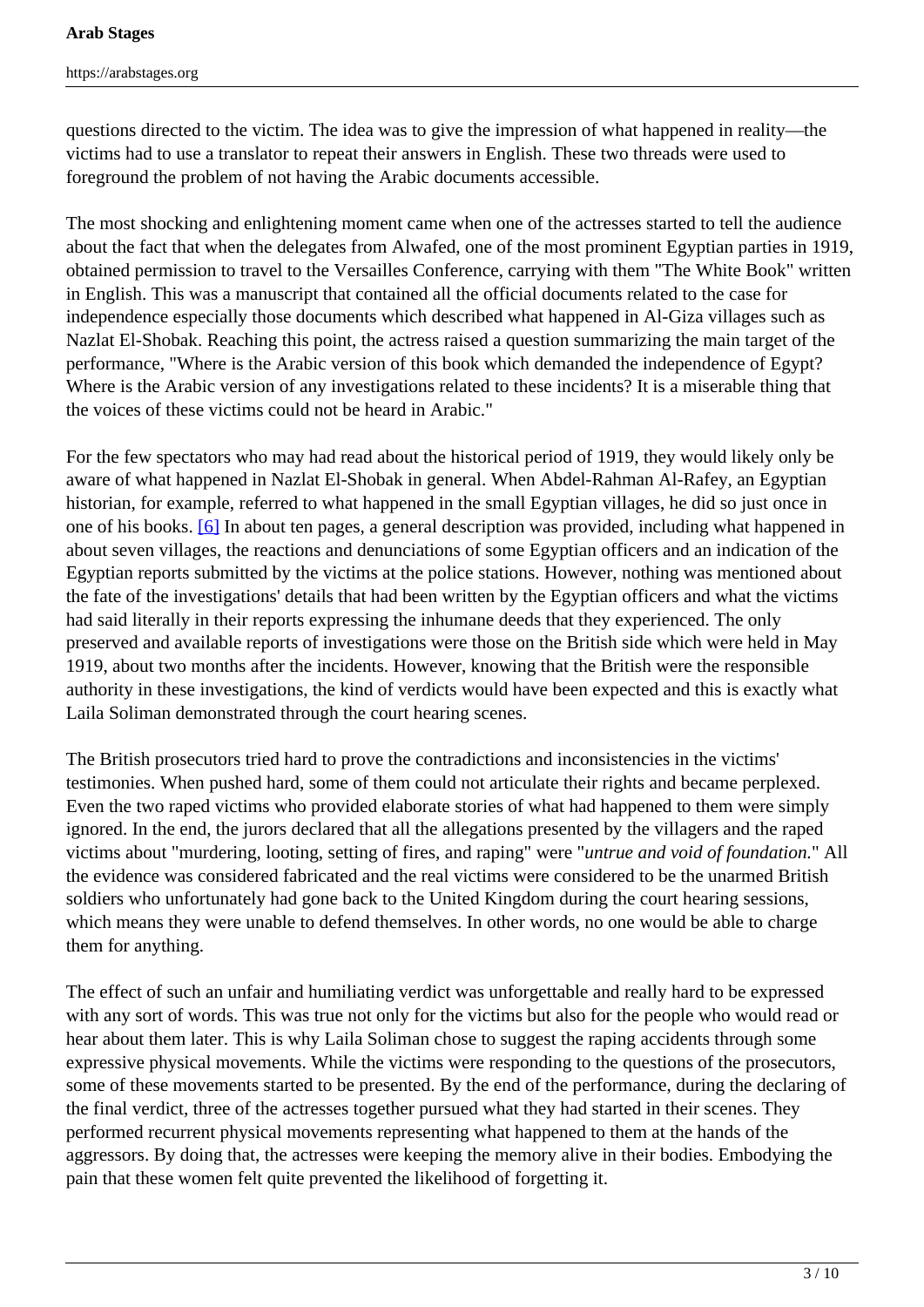questions directed to the victim. The idea was to give the impression of what happened in reality—the victims had to use a translator to repeat their answers in English. These two threads were used to foreground the problem of not having the Arabic documents accessible.

The most shocking and enlightening moment came when one of the actresses started to tell the audience about the fact that when the delegates from Alwafed, one of the most prominent Egyptian parties in 1919, obtained permission to travel to the Versailles Conference, carrying with them "The White Book" written in English. This was a manuscript that contained all the official documents related to the case for independence especially those documents which described what happened in Al-Giza villages such as Nazlat El-Shobak. Reaching this point, the actress raised a question summarizing the main target of the performance, "Where is the Arabic version of this book which demanded the independence of Egypt? Where is the Arabic version of any investigations related to these incidents? It is a miserable thing that the voices of these victims could not be heard in Arabic."

For the few spectators who may had read about the historical period of 1919, they would likely only be aware of what happened in Nazlat El-Shobak in general. When Abdel-Rahman Al-Rafey, an Egyptian historian, for example, referred to what happened in the small Egyptian villages, he did so just once in one of his books. [6] In about ten pages, a general description was provided, including what happened in about seven villages, the reactions and denunciations of some Egyptian officers and an indication of the Egyptian reports submitted by the victims at the police stations. However, nothing was mentioned about the fate of the investigations' details that had been written by the Egyptian officers and what the victims had said literally in their reports expressing the inhumane deeds that they experienced. The only preserved and available reports of investigations were those on the British side which were held in May 1919, about two months after the incidents. However, knowing that the British were the responsible authority in these investigations, the kind of verdicts would have been expected and this is exactly what Laila Soliman demonstrated through the court hearing scenes.

The British prosecutors tried hard to prove the contradictions and inconsistencies in the victims' testimonies. When pushed hard, some of them could not articulate their rights and became perplexed. Even the two raped victims who provided elaborate stories of what had happened to them were simply ignored. In the end, the jurors declared that all the allegations presented by the villagers and the raped victims about "murdering, looting, setting of fires, and raping" were "*untrue and void of foundation.*" All the evidence was considered fabricated and the real victims were considered to be the unarmed British soldiers who unfortunately had gone back to the United Kingdom during the court hearing sessions, which means they were unable to defend themselves. In other words, no one would be able to charge them for anything.

The effect of such an unfair and humiliating verdict was unforgettable and really hard to be expressed with any sort of words. This was true not only for the victims but also for the people who would read or hear about them later. This is why Laila Soliman chose to suggest the raping accidents through some expressive physical movements. While the victims were responding to the questions of the prosecutors, some of these movements started to be presented. By the end of the performance, during the declaring of the final verdict, three of the actresses together pursued what they had started in their scenes. They performed recurrent physical movements representing what happened to them at the hands of the aggressors. By doing that, the actresses were keeping the memory alive in their bodies. Embodying the pain that these women felt quite prevented the likelihood of forgetting it.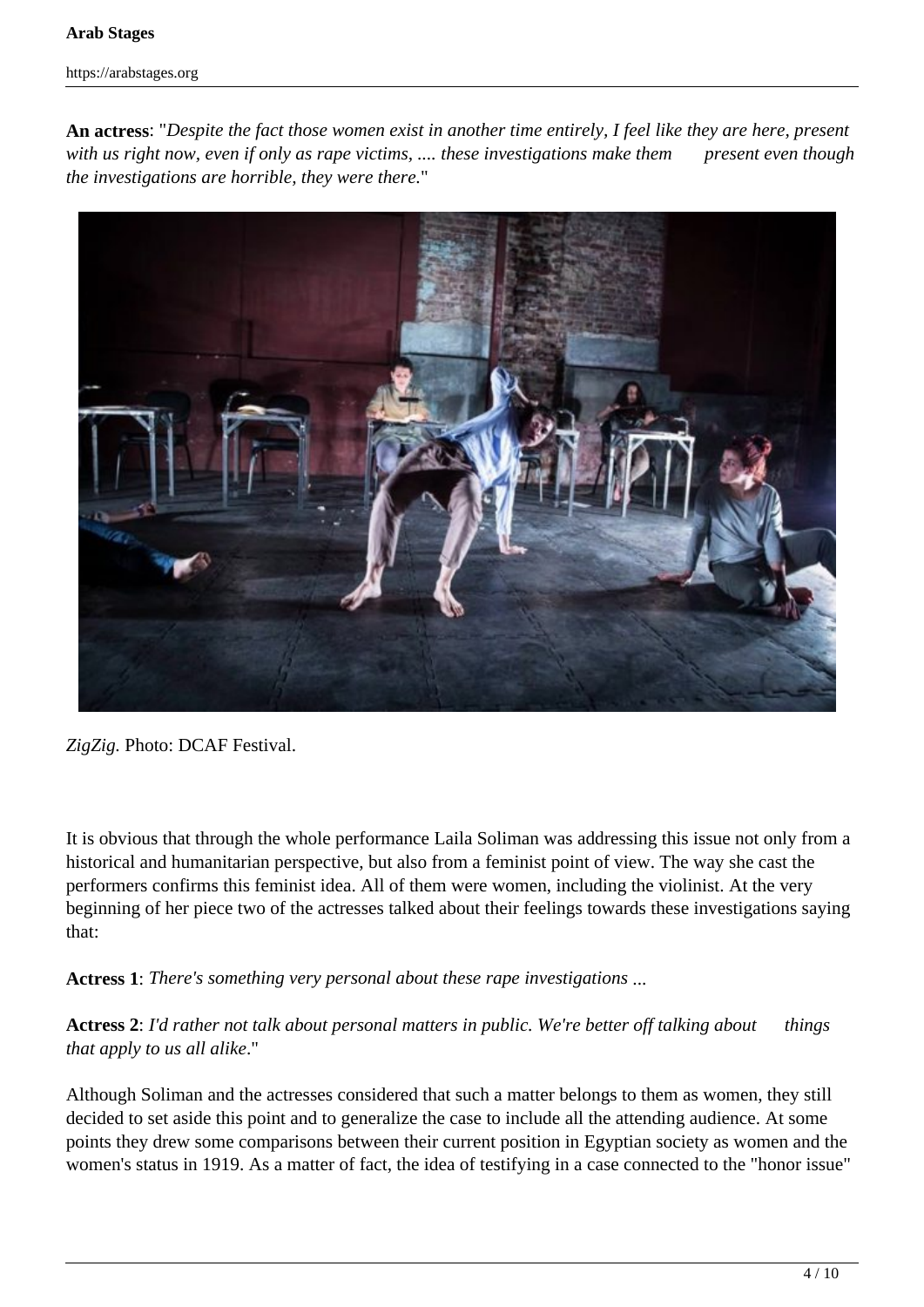#### **Arab Stages**

https://arabstages.org

**An actress**: "*Despite the fact those women exist in another time entirely, I feel like they are here, present with us right now, even if only as rape victims, .... these investigations make them present even though the investigations are horrible, they were there.*"



*ZigZig.* Photo: DCAF Festival.

It is obvious that through the whole performance Laila Soliman was addressing this issue not only from a historical and humanitarian perspective, but also from a feminist point of view. The way she cast the performers confirms this feminist idea. All of them were women, including the violinist. At the very beginning of her piece two of the actresses talked about their feelings towards these investigations saying that:

**Actress 1**: *There's something very personal about these rape investigations* ...

**Actress 2**: *I'd rather not talk about personal matters in public. We're better off talking about things that apply to us all alike*."

Although Soliman and the actresses considered that such a matter belongs to them as women, they still decided to set aside this point and to generalize the case to include all the attending audience. At some points they drew some comparisons between their current position in Egyptian society as women and the women's status in 1919. As a matter of fact, the idea of testifying in a case connected to the "honor issue"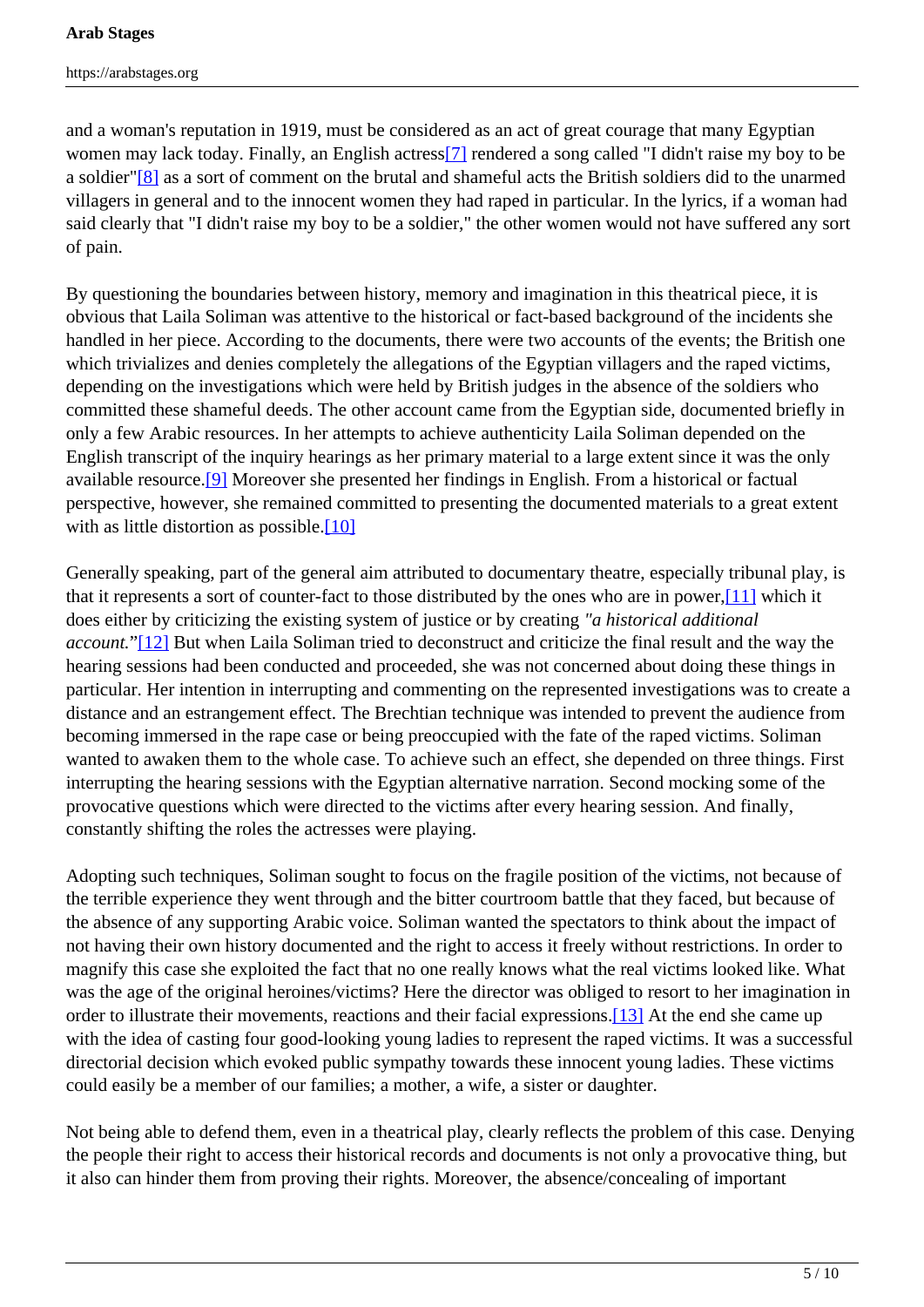and a woman's reputation in 1919, must be considered as an act of great courage that many Egyptian women may lack today. Finally, an English actress<sup>[7]</sup> rendered a song called "I didn't raise my boy to be a soldier"[8] as a sort of comment on the brutal and shameful acts the British soldiers did to the unarmed villagers in general and to the innocent women they had raped in particular. In the lyrics, if a woman had said clearly that "I didn't raise my boy to be a soldier," the other women would not have suffered any sort of pain.

By questioning the boundaries between history, memory and imagination in this theatrical piece, it is obvious that Laila Soliman was attentive to the historical or fact-based background of the incidents she handled in her piece. According to the documents, there were two accounts of the events; the British one which trivializes and denies completely the allegations of the Egyptian villagers and the raped victims, depending on the investigations which were held by British judges in the absence of the soldiers who committed these shameful deeds. The other account came from the Egyptian side, documented briefly in only a few Arabic resources. In her attempts to achieve authenticity Laila Soliman depended on the English transcript of the inquiry hearings as her primary material to a large extent since it was the only available resource.[9] Moreover she presented her findings in English. From a historical or factual perspective, however, she remained committed to presenting the documented materials to a great extent with as little distortion as possible. $[10]$ 

Generally speaking, part of the general aim attributed to documentary theatre, especially tribunal play, is that it represents a sort of counter-fact to those distributed by the ones who are in power,[11] which it does either by criticizing the existing system of justice or by creating *"a historical additional account.*"[12] But when Laila Soliman tried to deconstruct and criticize the final result and the way the hearing sessions had been conducted and proceeded, she was not concerned about doing these things in particular. Her intention in interrupting and commenting on the represented investigations was to create a distance and an estrangement effect. The Brechtian technique was intended to prevent the audience from becoming immersed in the rape case or being preoccupied with the fate of the raped victims. Soliman wanted to awaken them to the whole case. To achieve such an effect, she depended on three things. First interrupting the hearing sessions with the Egyptian alternative narration. Second mocking some of the provocative questions which were directed to the victims after every hearing session. And finally, constantly shifting the roles the actresses were playing.

Adopting such techniques, Soliman sought to focus on the fragile position of the victims, not because of the terrible experience they went through and the bitter courtroom battle that they faced, but because of the absence of any supporting Arabic voice. Soliman wanted the spectators to think about the impact of not having their own history documented and the right to access it freely without restrictions. In order to magnify this case she exploited the fact that no one really knows what the real victims looked like. What was the age of the original heroines/victims? Here the director was obliged to resort to her imagination in order to illustrate their movements, reactions and their facial expressions.[13] At the end she came up with the idea of casting four good-looking young ladies to represent the raped victims. It was a successful directorial decision which evoked public sympathy towards these innocent young ladies. These victims could easily be a member of our families; a mother, a wife, a sister or daughter.

Not being able to defend them, even in a theatrical play, clearly reflects the problem of this case. Denying the people their right to access their historical records and documents is not only a provocative thing, but it also can hinder them from proving their rights. Moreover, the absence/concealing of important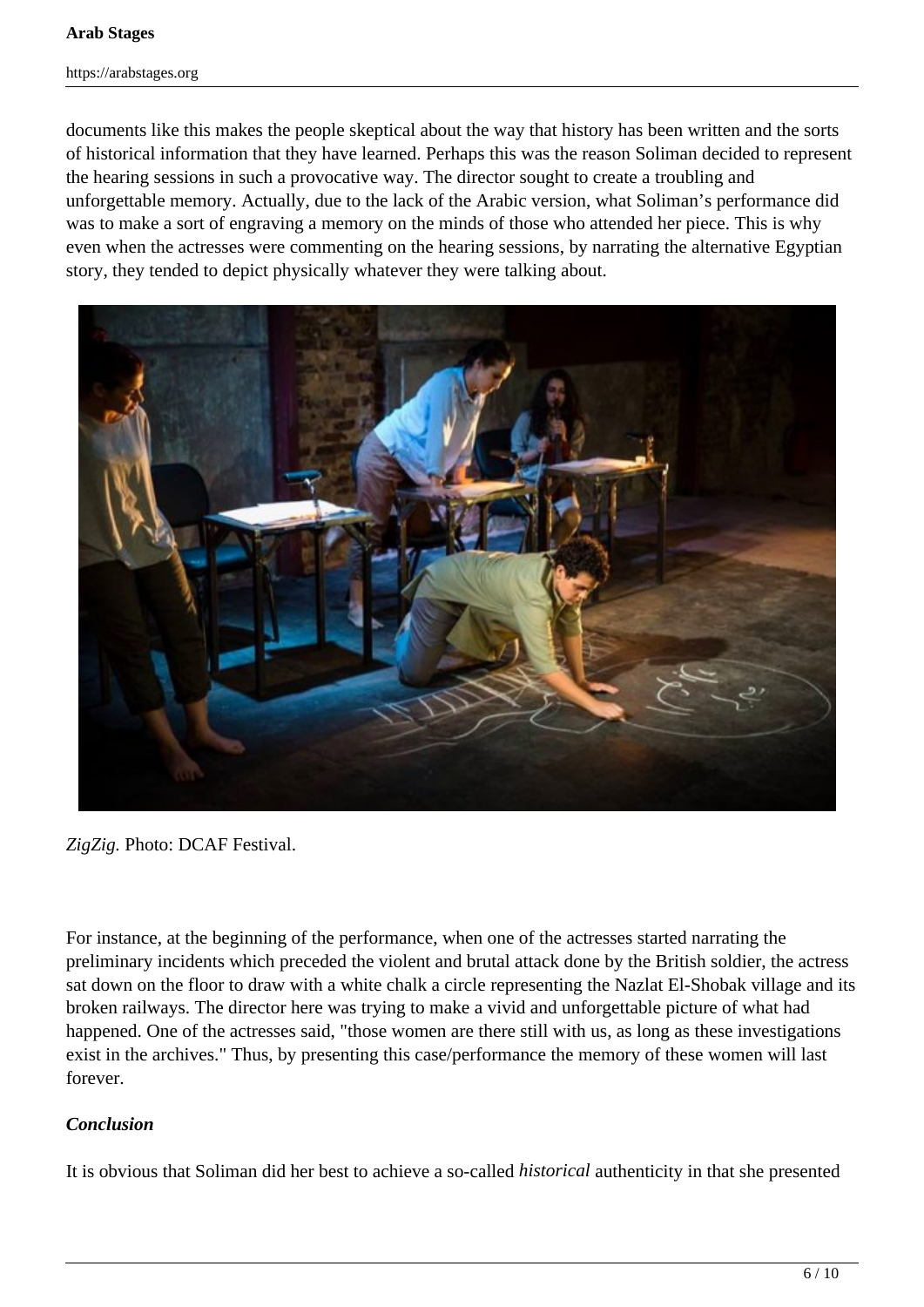documents like this makes the people skeptical about the way that history has been written and the sorts of historical information that they have learned. Perhaps this was the reason Soliman decided to represent the hearing sessions in such a provocative way. The director sought to create a troubling and unforgettable memory. Actually, due to the lack of the Arabic version, what Soliman's performance did was to make a sort of engraving a memory on the minds of those who attended her piece. This is why even when the actresses were commenting on the hearing sessions, by narrating the alternative Egyptian story, they tended to depict physically whatever they were talking about.



*ZigZig.* Photo: DCAF Festival.

For instance, at the beginning of the performance, when one of the actresses started narrating the preliminary incidents which preceded the violent and brutal attack done by the British soldier, the actress sat down on the floor to draw with a white chalk a circle representing the Nazlat El-Shobak village and its broken railways. The director here was trying to make a vivid and unforgettable picture of what had happened. One of the actresses said, "those women are there still with us, as long as these investigations exist in the archives." Thus, by presenting this case/performance the memory of these women will last forever.

# *Conclusion*

It is obvious that Soliman did her best to achieve a so-called *historical* authenticity in that she presented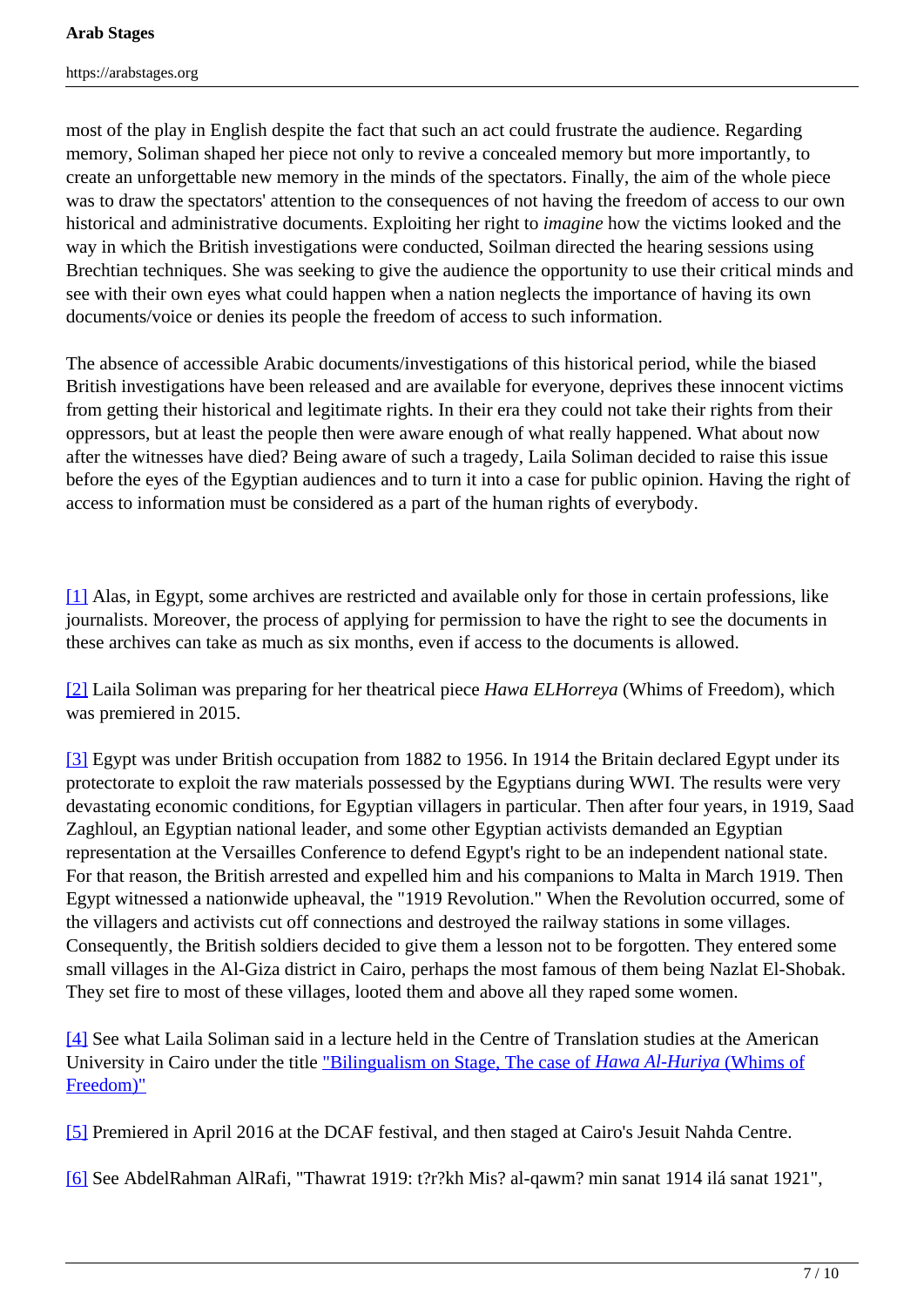most of the play in English despite the fact that such an act could frustrate the audience. Regarding memory, Soliman shaped her piece not only to revive a concealed memory but more importantly, to create an unforgettable new memory in the minds of the spectators. Finally, the aim of the whole piece was to draw the spectators' attention to the consequences of not having the freedom of access to our own historical and administrative documents. Exploiting her right to *imagine* how the victims looked and the way in which the British investigations were conducted, Soilman directed the hearing sessions using Brechtian techniques. She was seeking to give the audience the opportunity to use their critical minds and see with their own eyes what could happen when a nation neglects the importance of having its own documents/voice or denies its people the freedom of access to such information.

The absence of accessible Arabic documents/investigations of this historical period, while the biased British investigations have been released and are available for everyone, deprives these innocent victims from getting their historical and legitimate rights. In their era they could not take their rights from their oppressors, but at least the people then were aware enough of what really happened. What about now after the witnesses have died? Being aware of such a tragedy, Laila Soliman decided to raise this issue before the eyes of the Egyptian audiences and to turn it into a case for public opinion. Having the right of access to information must be considered as a part of the human rights of everybody.

[1] Alas, in Egypt, some archives are restricted and available only for those in certain professions, like journalists. Moreover, the process of applying for permission to have the right to see the documents in these archives can take as much as six months, even if access to the documents is allowed.

[2] Laila Soliman was preparing for her theatrical piece *Hawa ELHorreya* (Whims of Freedom), which was premiered in 2015.

[3] Egypt was under British occupation from 1882 to 1956. In 1914 the Britain declared Egypt under its protectorate to exploit the raw materials possessed by the Egyptians during WWI. The results were very devastating economic conditions, for Egyptian villagers in particular. Then after four years, in 1919, Saad Zaghloul, an Egyptian national leader, and some other Egyptian activists demanded an Egyptian representation at the Versailles Conference to defend Egypt's right to be an independent national state. For that reason, the British arrested and expelled him and his companions to Malta in March 1919. Then Egypt witnessed a nationwide upheaval, the "1919 Revolution." When the Revolution occurred, some of the villagers and activists cut off connections and destroyed the railway stations in some villages. Consequently, the British soldiers decided to give them a lesson not to be forgotten. They entered some small villages in the Al-Giza district in Cairo, perhaps the most famous of them being Nazlat El-Shobak. They set fire to most of these villages, looted them and above all they raped some women.

[4] See what Laila Soliman said in a lecture held in the Centre of Translation studies at the American University in Cairo under the title "Bilingualism on Stage, The case of *Hawa Al-Huriya* (Whims of Freedom)"

[5] Premiered in April 2016 at the DCAF festival, and then staged at Cairo's Jesuit Nahda Centre.

[6] See AbdelRahman AlRafi, "Thawrat 1919: t?r?kh Mis? al-qawm? min sanat 1914 ilá sanat 1921",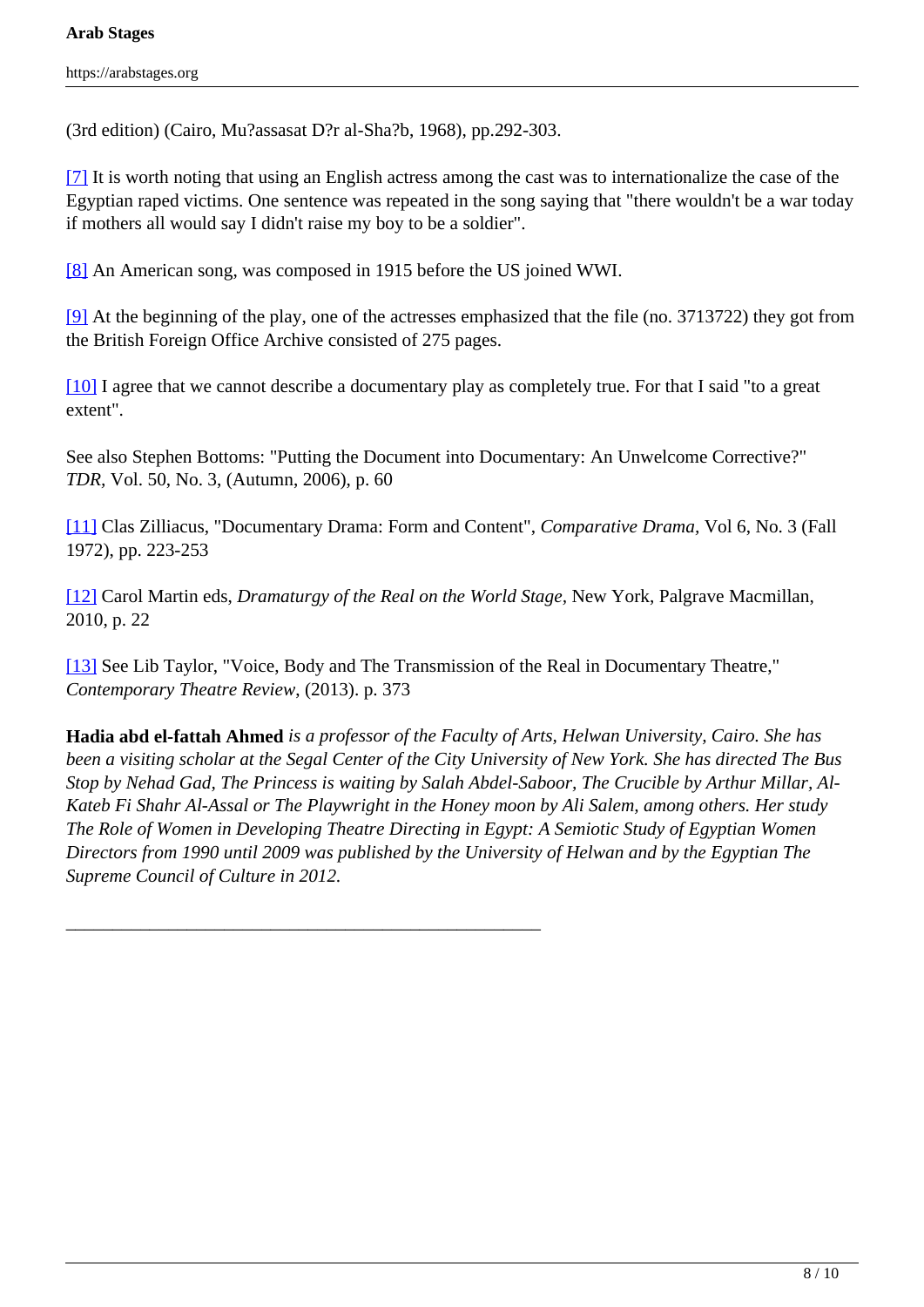(3rd edition) (Cairo, Mu?assasat D?r al-Sha?b, 1968), pp.292-303.

[7] It is worth noting that using an English actress among the cast was to internationalize the case of the Egyptian raped victims. One sentence was repeated in the song saying that "there wouldn't be a war today if mothers all would say I didn't raise my boy to be a soldier".

[8] An American song, was composed in 1915 before the US joined WWI.

[9] At the beginning of the play, one of the actresses emphasized that the file (no. 3713722) they got from the British Foreign Office Archive consisted of 275 pages.

[10] I agree that we cannot describe a documentary play as completely true. For that I said "to a great extent".

See also Stephen Bottoms: "Putting the Document into Documentary: An Unwelcome Corrective?" *TDR,* Vol. 50, No. 3, (Autumn, 2006), p. 60

[11] Clas Zilliacus, "Documentary Drama: Form and Content", *Comparative Drama,* Vol 6, No. 3 (Fall 1972), pp. 223-253

[12] Carol Martin eds, *Dramaturgy of the Real on the World Stage,* New York, Palgrave Macmillan, 2010, p. 22

[13] See Lib Taylor, "Voice, Body and The Transmission of the Real in Documentary Theatre," *Contemporary Theatre Review*, (2013). p. 373

\_\_\_\_\_\_\_\_\_\_\_\_\_\_\_\_\_\_\_\_\_\_\_\_\_\_\_\_\_\_\_\_\_\_\_\_\_\_\_\_\_\_\_\_\_\_\_\_\_\_\_

**Hadia abd el-fattah Ahmed** *is a professor of the Faculty of Arts, Helwan University, Cairo. She has been a visiting scholar at the Segal Center of the City University of New York. She has directed The Bus Stop by Nehad Gad, The Princess is waiting by Salah Abdel-Saboor, The Crucible by Arthur Millar, Al-Kateb Fi Shahr Al-Assal or The Playwright in the Honey moon by Ali Salem, among others. Her study The Role of Women in Developing Theatre Directing in Egypt: A Semiotic Study of Egyptian Women Directors from 1990 until 2009 was published by the University of Helwan and by the Egyptian The Supreme Council of Culture in 2012.*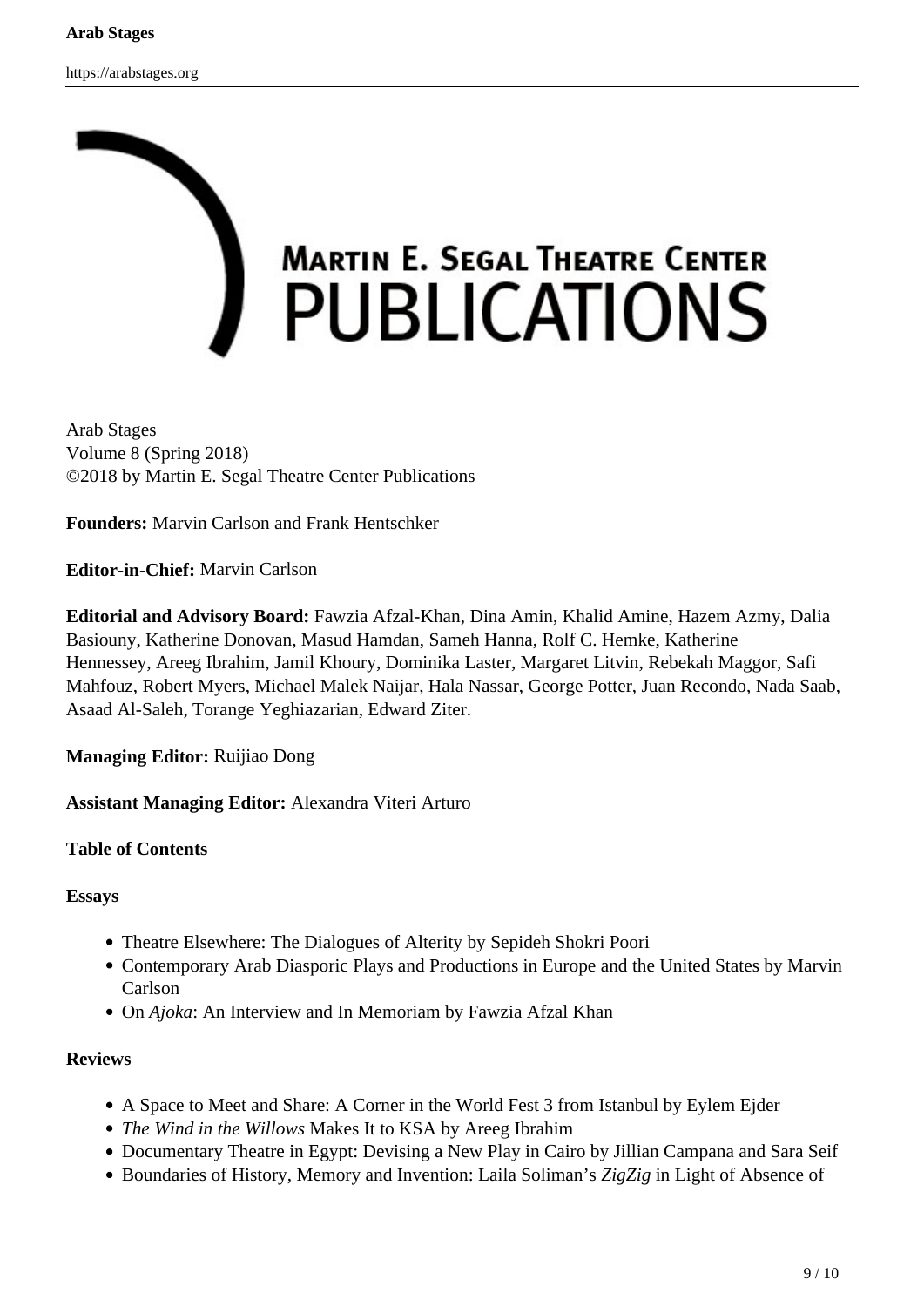

Arab Stages Volume 8 (Spring 2018) ©2018 by Martin E. Segal Theatre Center Publications

**Founders:** Marvin Carlson and Frank Hentschker

**Editor-in-Chief:** Marvin Carlson

**Editorial and Advisory Board:** Fawzia Afzal-Khan, Dina Amin, Khalid Amine, Hazem Azmy, Dalia Basiouny, Katherine Donovan, Masud Hamdan, Sameh Hanna, Rolf C. Hemke, Katherine Hennessey, Areeg Ibrahim, Jamil Khoury, Dominika Laster, Margaret Litvin, Rebekah Maggor, Safi Mahfouz, Robert Myers, Michael Malek Naijar, Hala Nassar, George Potter, Juan Recondo, Nada Saab, Asaad Al-Saleh, Torange Yeghiazarian, Edward Ziter.

**Managing Editor:** Ruijiao Dong

**Assistant Managing Editor:** Alexandra Viteri Arturo

## **Table of Contents**

### **Essays**

- Theatre Elsewhere: The Dialogues of Alterity by Sepideh Shokri Poori
- Contemporary Arab Diasporic Plays and Productions in Europe and the United States by Marvin Carlson
- On *Ajoka*: An Interview and In Memoriam by Fawzia Afzal Khan

## **Reviews**

- A Space to Meet and Share: A Corner in the World Fest 3 from Istanbul by Eylem Ejder
- *The Wind in the Willows* Makes It to KSA by Areeg Ibrahim
- Documentary Theatre in Egypt: Devising a New Play in Cairo by Jillian Campana and Sara Seif
- Boundaries of History, Memory and Invention: Laila Soliman's *ZigZig* in Light of Absence of